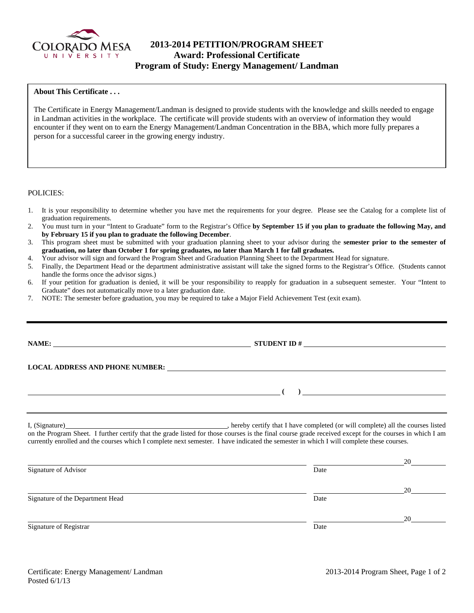

# **2013-2014 PETITION/PROGRAM SHEET Award: Professional Certificate Program of Study: Energy Management/ Landman**

# **About This Certificate . . .**

The Certificate in Energy Management/Landman is designed to provide students with the knowledge and skills needed to engage in Landman activities in the workplace. The certificate will provide students with an overview of information they would encounter if they went on to earn the Energy Management/Landman Concentration in the BBA, which more fully prepares a person for a successful career in the growing energy industry.

## POLICIES:

- 1. It is your responsibility to determine whether you have met the requirements for your degree. Please see the Catalog for a complete list of graduation requirements.
- 2. You must turn in your "Intent to Graduate" form to the Registrar's Office **by September 15 if you plan to graduate the following May, and by February 15 if you plan to graduate the following December**.
- 3. This program sheet must be submitted with your graduation planning sheet to your advisor during the **semester prior to the semester of graduation, no later than October 1 for spring graduates, no later than March 1 for fall graduates.**
- 4. Your advisor will sign and forward the Program Sheet and Graduation Planning Sheet to the Department Head for signature.
- 5. Finally, the Department Head or the department administrative assistant will take the signed forms to the Registrar's Office. (Students cannot handle the forms once the advisor signs.)
- 6. If your petition for graduation is denied, it will be your responsibility to reapply for graduation in a subsequent semester. Your "Intent to Graduate" does not automatically move to a later graduation date.
- 7. NOTE: The semester before graduation, you may be required to take a Major Field Achievement Test (exit exam).

|                                  | currently enrolled and the courses which I complete next semester. I have indicated the semester in which I will complete these courses. |                      |
|----------------------------------|------------------------------------------------------------------------------------------------------------------------------------------|----------------------|
|                                  |                                                                                                                                          | $20 \quad \text{or}$ |
| Signature of Advisor             | Date                                                                                                                                     |                      |
|                                  |                                                                                                                                          | 20                   |
| Signature of the Department Head | Date                                                                                                                                     |                      |
|                                  |                                                                                                                                          | 20                   |

Signature of Registrar Date and Separature of Registrar Date